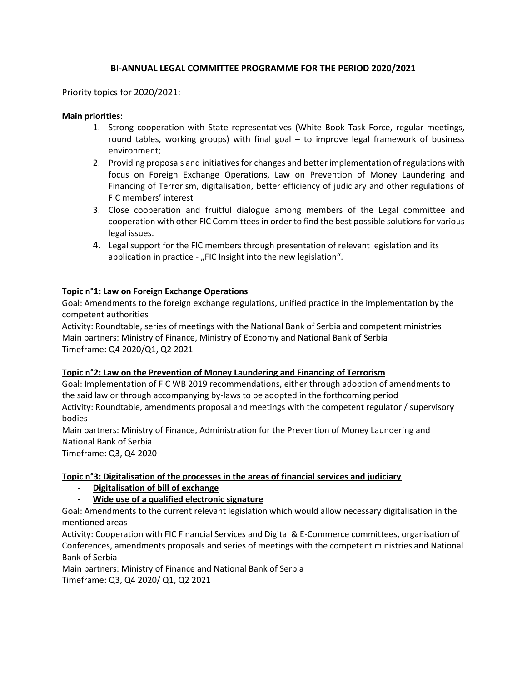# **BI-ANNUAL LEGAL COMMITTEE PROGRAMME FOR THE PERIOD 2020/2021**

### Priority topics for 2020/2021:

### **Main priorities:**

- 1. Strong cooperation with State representatives (White Book Task Force, regular meetings, round tables, working groups) with final goal – to improve legal framework of business environment;
- 2. Providing proposals and initiatives for changes and better implementation of regulations with focus on Foreign Exchange Operations, Law on Prevention of Money Laundering and Financing of Terrorism, digitalisation, better efficiency of judiciary and other regulations of FIC members' interest
- 3. Close cooperation and fruitful dialogue among members of the Legal committee and cooperation with other FIC Committees in order to find the best possible solutions for various legal issues.
- 4. Legal support for the FIC members through presentation of relevant legislation and its application in practice - "FIC Insight into the new legislation".

### **Topic n°1: Law on Foreign Exchange Operations**

Goal: Amendments to the foreign exchange regulations, unified practice in the implementation by the competent authorities

Activity: Roundtable, series of meetings with the National Bank of Serbia and competent ministries Main partners: Ministry of Finance, Ministry of Economy and National Bank of Serbia Timeframe: Q4 2020/Q1, Q2 2021

#### **Topic n°2: Law on the Prevention of Money Laundering and Financing of Terrorism**

Goal: Implementation of FIC WB 2019 recommendations, either through adoption of amendments to the said law or through accompanying by-laws to be adopted in the forthcoming period Activity: Roundtable, amendments proposal and meetings with the competent regulator / supervisory bodies

Main partners: Ministry of Finance, Administration for the Prevention of Money Laundering and National Bank of Serbia

Timeframe: Q3, Q4 2020

## **Topic n°3: Digitalisation of the processes in the areas of financial services and judiciary**

## **- Digitalisation of bill of exchange**

## **- Wide use of a qualified electronic signature**

Goal: Amendments to the current relevant legislation which would allow necessary digitalisation in the mentioned areas

Activity: Cooperation with FIC Financial Services and Digital & E-Commerce committees, organisation of Conferences, amendments proposals and series of meetings with the competent ministries and National Bank of Serbia

Main partners: Ministry of Finance and National Bank of Serbia Timeframe: Q3, Q4 2020/ Q1, Q2 2021